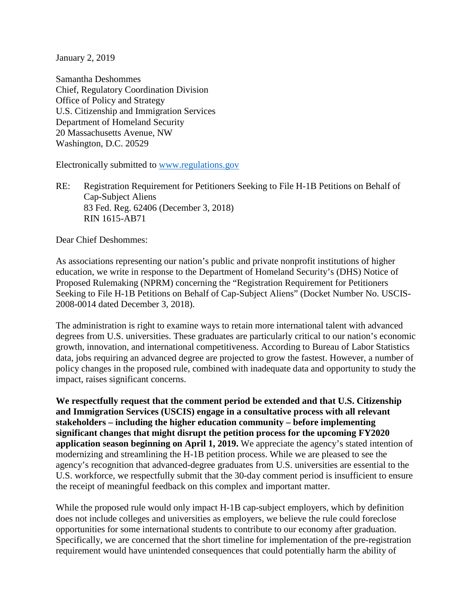January 2, 2019

Samantha Deshommes Chief, Regulatory Coordination Division Office of Policy and Strategy U.S. Citizenship and Immigration Services Department of Homeland Security 20 Massachusetts Avenue, NW Washington, D.C. 20529

Electronically submitted to [www.regulations.gov](http://www.regulations.gov/)

RE: Registration Requirement for Petitioners Seeking to File H-1B Petitions on Behalf of Cap-Subject Aliens 83 Fed. Reg. 62406 (December 3, 2018) RIN 1615-AB71

Dear Chief Deshommes:

As associations representing our nation's public and private nonprofit institutions of higher education, we write in response to the Department of Homeland Security's (DHS) Notice of Proposed Rulemaking (NPRM) concerning the "Registration Requirement for Petitioners Seeking to File H-1B Petitions on Behalf of Cap-Subject Aliens" (Docket Number No. USCIS-2008-0014 dated December 3, 2018).

The administration is right to examine ways to retain more international talent with advanced degrees from U.S. universities. These graduates are particularly critical to our nation's economic growth, innovation, and international competitiveness. According to Bureau of Labor Statistics data, jobs requiring an advanced degree are projected to grow the fastest. However, a number of policy changes in the proposed rule, combined with inadequate data and opportunity to study the impact, raises significant concerns.

**We respectfully request that the comment period be extended and that U.S. Citizenship and Immigration Services (USCIS) engage in a consultative process with all relevant stakeholders – including the higher education community – before implementing significant changes that might disrupt the petition process for the upcoming FY2020 application season beginning on April 1, 2019.** We appreciate the agency's stated intention of modernizing and streamlining the H-1B petition process. While we are pleased to see the agency's recognition that advanced-degree graduates from U.S. universities are essential to the U.S. workforce, we respectfully submit that the 30-day comment period is insufficient to ensure the receipt of meaningful feedback on this complex and important matter.

While the proposed rule would only impact H-1B cap-subject employers, which by definition does not include colleges and universities as employers, we believe the rule could foreclose opportunities for some international students to contribute to our economy after graduation. Specifically, we are concerned that the short timeline for implementation of the pre-registration requirement would have unintended consequences that could potentially harm the ability of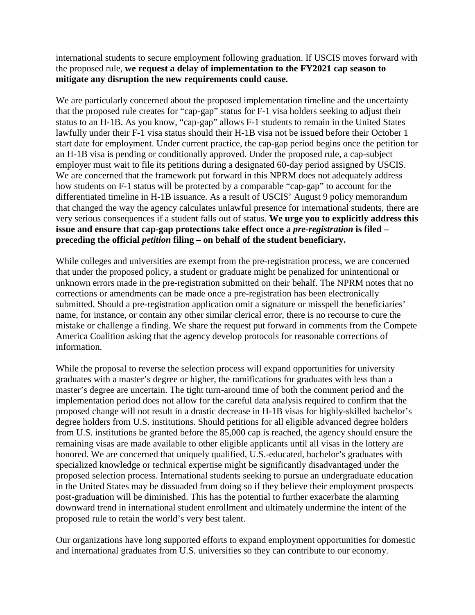international students to secure employment following graduation. If USCIS moves forward with the proposed rule, **we request a delay of implementation to the FY2021 cap season to mitigate any disruption the new requirements could cause.**

We are particularly concerned about the proposed implementation timeline and the uncertainty that the proposed rule creates for "cap-gap" status for F-1 visa holders seeking to adjust their status to an H-1B. As you know, "cap-gap" allows F-1 students to remain in the United States lawfully under their F-1 visa status should their H-1B visa not be issued before their October 1 start date for employment. Under current practice, the cap-gap period begins once the petition for an H-1B visa is pending or conditionally approved. Under the proposed rule, a cap-subject employer must wait to file its petitions during a designated 60-day period assigned by USCIS. We are concerned that the framework put forward in this NPRM does not adequately address how students on F-1 status will be protected by a comparable "cap-gap" to account for the differentiated timeline in H-1B issuance. As a result of USCIS' August 9 policy memorandum that changed the way the agency calculates unlawful presence for international students, there are very serious consequences if a student falls out of status. **We urge you to explicitly address this issue and ensure that cap-gap protections take effect once a** *pre-registration* **is filed – preceding the official** *petition* **filing – on behalf of the student beneficiary.** 

While colleges and universities are exempt from the pre-registration process, we are concerned that under the proposed policy, a student or graduate might be penalized for unintentional or unknown errors made in the pre-registration submitted on their behalf. The NPRM notes that no corrections or amendments can be made once a pre-registration has been electronically submitted. Should a pre-registration application omit a signature or misspell the beneficiaries' name, for instance, or contain any other similar clerical error, there is no recourse to cure the mistake or challenge a finding. We share the request put forward in comments from the Compete America Coalition asking that the agency develop protocols for reasonable corrections of information.

While the proposal to reverse the selection process will expand opportunities for university graduates with a master's degree or higher, the ramifications for graduates with less than a master's degree are uncertain. The tight turn-around time of both the comment period and the implementation period does not allow for the careful data analysis required to confirm that the proposed change will not result in a drastic decrease in H-1B visas for highly-skilled bachelor's degree holders from U.S. institutions. Should petitions for all eligible advanced degree holders from U.S. institutions be granted before the 85,000 cap is reached, the agency should ensure the remaining visas are made available to other eligible applicants until all visas in the lottery are honored. We are concerned that uniquely qualified, U.S.-educated, bachelor's graduates with specialized knowledge or technical expertise might be significantly disadvantaged under the proposed selection process. International students seeking to pursue an undergraduate education in the United States may be dissuaded from doing so if they believe their employment prospects post-graduation will be diminished. This has the potential to further exacerbate the alarming downward trend in international student enrollment and ultimately undermine the intent of the proposed rule to retain the world's very best talent.

Our organizations have long supported efforts to expand employment opportunities for domestic and international graduates from U.S. universities so they can contribute to our economy.